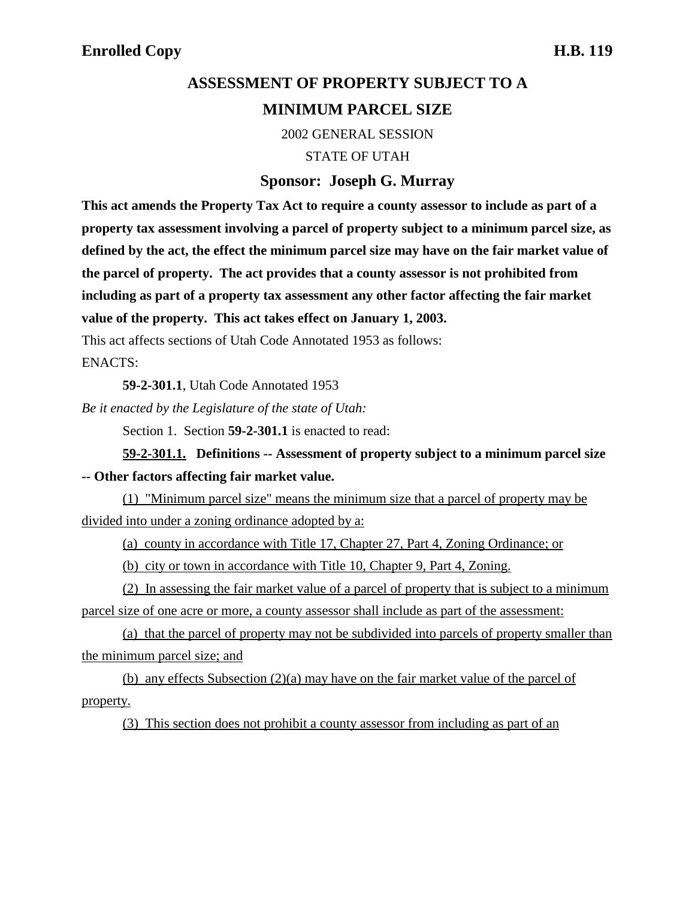## **ASSESSMENT OF PROPERTY SUBJECT TO A MINIMUM PARCEL SIZE**

2002 GENERAL SESSION

STATE OF UTAH

## **Sponsor: Joseph G. Murray**

**This act amends the Property Tax Act to require a county assessor to include as part of a property tax assessment involving a parcel of property subject to a minimum parcel size, as defined by the act, the effect the minimum parcel size may have on the fair market value of the parcel of property. The act provides that a county assessor is not prohibited from including as part of a property tax assessment any other factor affecting the fair market value of the property. This act takes effect on January 1, 2003.**

This act affects sections of Utah Code Annotated 1953 as follows:

ENACTS:

**59-2-301.1**, Utah Code Annotated 1953

*Be it enacted by the Legislature of the state of Utah:*

Section 1. Section **59-2-301.1** is enacted to read:

**59-2-301.1. Definitions -- Assessment of property subject to a minimum parcel size -- Other factors affecting fair market value.**

(1) "Minimum parcel size" means the minimum size that a parcel of property may be divided into under a zoning ordinance adopted by a:

(a) county in accordance with Title 17, Chapter 27, Part 4, Zoning Ordinance; or

(b) city or town in accordance with Title 10, Chapter 9, Part 4, Zoning.

(2) In assessing the fair market value of a parcel of property that is subject to a minimum parcel size of one acre or more, a county assessor shall include as part of the assessment:

(a) that the parcel of property may not be subdivided into parcels of property smaller than the minimum parcel size; and

(b) any effects Subsection (2)(a) may have on the fair market value of the parcel of property.

(3) This section does not prohibit a county assessor from including as part of an